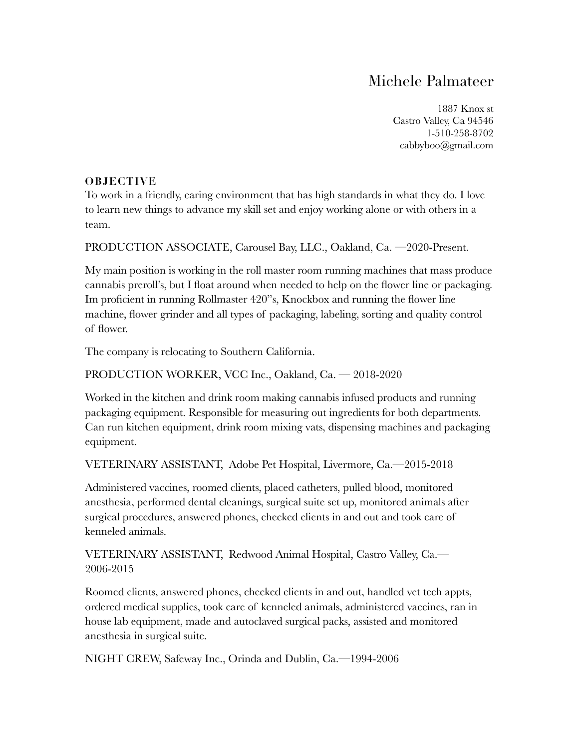## Michele Palmateer

1887 Knox st Castro Valley, Ca 94546 1-510-258-8702 cabbyboo@gmail.com

## **OBJECTIVE**

To work in a friendly, caring environment that has high standards in what they do. I love to learn new things to advance my skill set and enjoy working alone or with others in a team.

PRODUCTION ASSOCIATE, Carousel Bay, LLC., Oakland, Ca. —2020-Present.

My main position is working in the roll master room running machines that mass produce cannabis preroll's, but I float around when needed to help on the flower line or packaging. Im proficient in running Rollmaster 420"s, Knockbox and running the flower line machine, flower grinder and all types of packaging, labeling, sorting and quality control of flower.

The company is relocating to Southern California.

## PRODUCTION WORKER, VCC Inc., Oakland, Ca. — 2018-2020

Worked in the kitchen and drink room making cannabis infused products and running packaging equipment. Responsible for measuring out ingredients for both departments. Can run kitchen equipment, drink room mixing vats, dispensing machines and packaging equipment.

VETERINARY ASSISTANT, Adobe Pet Hospital, Livermore, Ca.—2015-2018

Administered vaccines, roomed clients, placed catheters, pulled blood, monitored anesthesia, performed dental cleanings, surgical suite set up, monitored animals after surgical procedures, answered phones, checked clients in and out and took care of kenneled animals.

VETERINARY ASSISTANT, Redwood Animal Hospital, Castro Valley, Ca.— 2006-2015

Roomed clients, answered phones, checked clients in and out, handled vet tech appts, ordered medical supplies, took care of kenneled animals, administered vaccines, ran in house lab equipment, made and autoclaved surgical packs, assisted and monitored anesthesia in surgical suite.

NIGHT CREW, Safeway Inc., Orinda and Dublin, Ca.—1994-2006